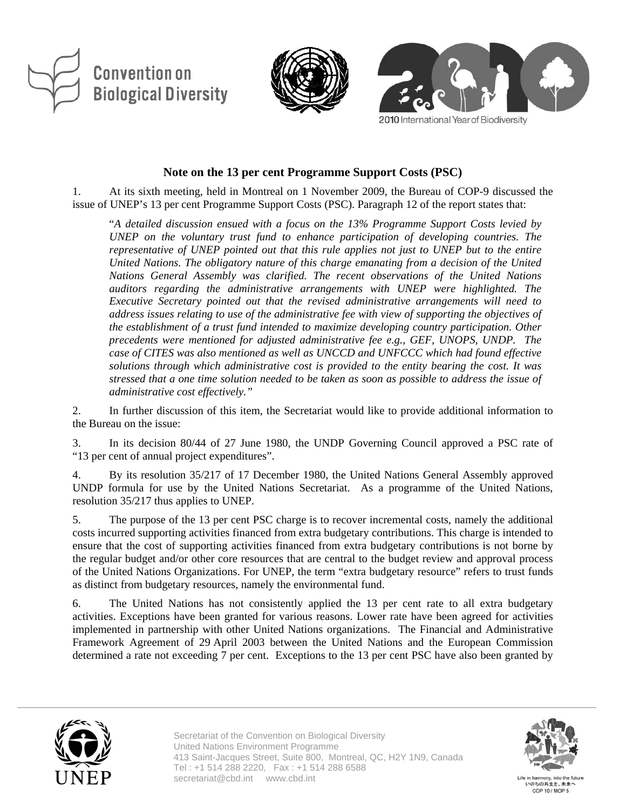





2010 International Year of Biodiversity

## **Note on the 13 per cent Programme Support Costs (PSC)**

1. At its sixth meeting, held in Montreal on 1 November 2009, the Bureau of COP-9 discussed the issue of UNEP's 13 per cent Programme Support Costs (PSC). Paragraph 12 of the report states that:

"*A detailed discussion ensued with a focus on the 13% Programme Support Costs levied by UNEP on the voluntary trust fund to enhance participation of developing countries. The representative of UNEP pointed out that this rule applies not just to UNEP but to the entire United Nations. The obligatory nature of this charge emanating from a decision of the United Nations General Assembly was clarified. The recent observations of the United Nations auditors regarding the administrative arrangements with UNEP were highlighted. The Executive Secretary pointed out that the revised administrative arrangements will need to address issues relating to use of the administrative fee with view of supporting the objectives of the establishment of a trust fund intended to maximize developing country participation. Other precedents were mentioned for adjusted administrative fee e.g., GEF, UNOPS, UNDP. The case of CITES was also mentioned as well as UNCCD and UNFCCC which had found effective solutions through which administrative cost is provided to the entity bearing the cost. It was stressed that a one time solution needed to be taken as soon as possible to address the issue of administrative cost effectively."* 

2. In further discussion of this item, the Secretariat would like to provide additional information to the Bureau on the issue:

3. In its decision 80/44 of 27 June 1980, the UNDP Governing Council approved a PSC rate of "13 per cent of annual project expenditures".

4. By its resolution 35/217 of 17 December 1980, the United Nations General Assembly approved UNDP formula for use by the United Nations Secretariat. As a programme of the United Nations, resolution 35/217 thus applies to UNEP.

5. The purpose of the 13 per cent PSC charge is to recover incremental costs, namely the additional costs incurred supporting activities financed from extra budgetary contributions. This charge is intended to ensure that the cost of supporting activities financed from extra budgetary contributions is not borne by the regular budget and/or other core resources that are central to the budget review and approval process of the United Nations Organizations. For UNEP, the term "extra budgetary resource" refers to trust funds as distinct from budgetary resources, namely the environmental fund.

6. The United Nations has not consistently applied the 13 per cent rate to all extra budgetary activities. Exceptions have been granted for various reasons. Lower rate have been agreed for activities implemented in partnership with other United Nations organizations. The Financial and Administrative Framework Agreement of 29 April 2003 between the United Nations and the European Commission determined a rate not exceeding 7 per cent. Exceptions to the 13 per cent PSC have also been granted by





いのちの共生を、未来へ COP 10 / MOP 5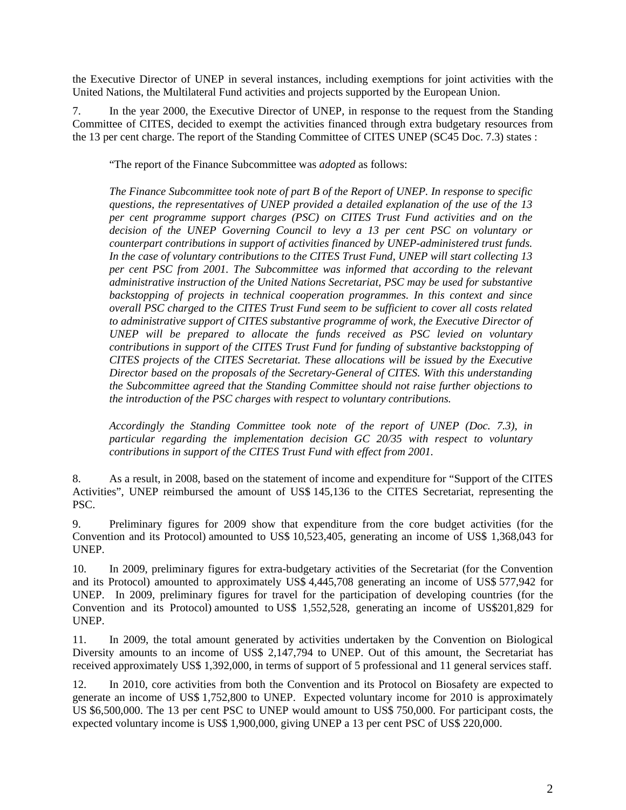the Executive Director of UNEP in several instances, including exemptions for joint activities with the United Nations, the Multilateral Fund activities and projects supported by the European Union.

7. In the year 2000, the Executive Director of UNEP, in response to the request from the Standing Committee of CITES, decided to exempt the activities financed through extra budgetary resources from the 13 per cent charge. The report of the Standing Committee of CITES UNEP (SC45 Doc. 7.3) states :

"The report of the Finance Subcommittee was *adopted* as follows:

*The Finance Subcommittee took note of part B of the Report of UNEP. In response to specific questions, the representatives of UNEP provided a detailed explanation of the use of the 13 per cent programme support charges (PSC) on CITES Trust Fund activities and on the decision of the UNEP Governing Council to levy a 13 per cent PSC on voluntary or counterpart contributions in support of activities financed by UNEP-administered trust funds. In the case of voluntary contributions to the CITES Trust Fund, UNEP will start collecting 13 per cent PSC from 2001. The Subcommittee was informed that according to the relevant administrative instruction of the United Nations Secretariat, PSC may be used for substantive backstopping of projects in technical cooperation programmes. In this context and since overall PSC charged to the CITES Trust Fund seem to be sufficient to cover all costs related to administrative support of CITES substantive programme of work, the Executive Director of UNEP will be prepared to allocate the funds received as PSC levied on voluntary contributions in support of the CITES Trust Fund for funding of substantive backstopping of CITES projects of the CITES Secretariat. These allocations will be issued by the Executive Director based on the proposals of the Secretary-General of CITES. With this understanding the Subcommittee agreed that the Standing Committee should not raise further objections to the introduction of the PSC charges with respect to voluntary contributions.* 

*Accordingly the Standing Committee took note of the report of UNEP (Doc. 7.3), in particular regarding the implementation decision GC 20/35 with respect to voluntary contributions in support of the CITES Trust Fund with effect from 2001.*

8. As a result, in 2008, based on the statement of income and expenditure for "Support of the CITES Activities", UNEP reimbursed the amount of US\$ 145,136 to the CITES Secretariat, representing the PSC.

9. Preliminary figures for 2009 show that expenditure from the core budget activities (for the Convention and its Protocol) amounted to US\$ 10,523,405, generating an income of US\$ 1,368,043 for UNEP.

10. In 2009, preliminary figures for extra-budgetary activities of the Secretariat (for the Convention and its Protocol) amounted to approximately US\$ 4,445,708 generating an income of US\$ 577,942 for UNEP. In 2009, preliminary figures for travel for the participation of developing countries (for the Convention and its Protocol) amounted to US\$ 1,552,528, generating an income of US\$201,829 for UNEP.

11. In 2009, the total amount generated by activities undertaken by the Convention on Biological Diversity amounts to an income of US\$ 2,147,794 to UNEP. Out of this amount, the Secretariat has received approximately US\$ 1,392,000, in terms of support of 5 professional and 11 general services staff.

12. In 2010, core activities from both the Convention and its Protocol on Biosafety are expected to generate an income of US\$ 1,752,800 to UNEP. Expected voluntary income for 2010 is approximately US \$6,500,000. The 13 per cent PSC to UNEP would amount to US\$ 750,000. For participant costs, the expected voluntary income is US\$ 1,900,000, giving UNEP a 13 per cent PSC of US\$ 220,000.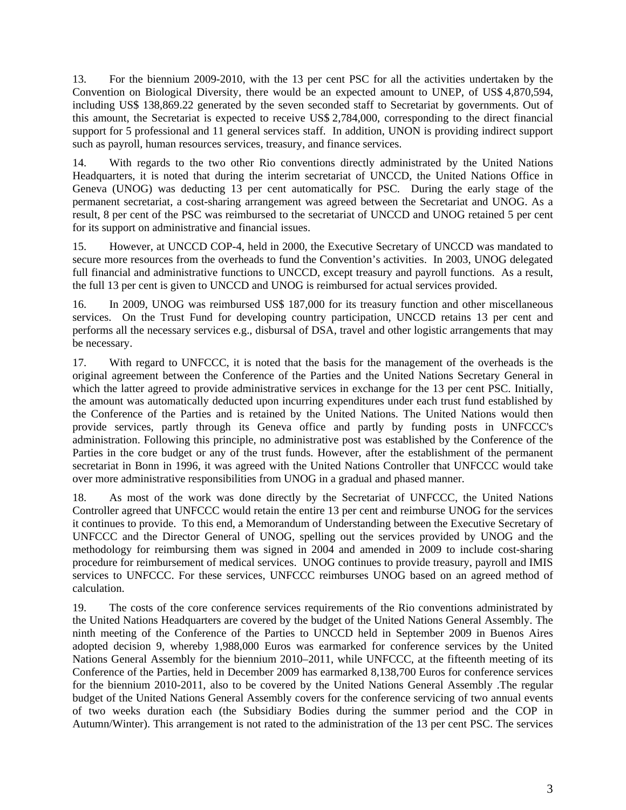13. For the biennium 2009-2010, with the 13 per cent PSC for all the activities undertaken by the Convention on Biological Diversity, there would be an expected amount to UNEP, of US\$ 4,870,594, including US\$ 138,869.22 generated by the seven seconded staff to Secretariat by governments. Out of this amount, the Secretariat is expected to receive US\$ 2,784,000, corresponding to the direct financial support for 5 professional and 11 general services staff. In addition, UNON is providing indirect support such as payroll, human resources services, treasury, and finance services.

14. With regards to the two other Rio conventions directly administrated by the United Nations Headquarters, it is noted that during the interim secretariat of UNCCD, the United Nations Office in Geneva (UNOG) was deducting 13 per cent automatically for PSC. During the early stage of the permanent secretariat, a cost-sharing arrangement was agreed between the Secretariat and UNOG. As a result, 8 per cent of the PSC was reimbursed to the secretariat of UNCCD and UNOG retained 5 per cent for its support on administrative and financial issues.

15. However, at UNCCD COP-4, held in 2000, the Executive Secretary of UNCCD was mandated to secure more resources from the overheads to fund the Convention's activities. In 2003, UNOG delegated full financial and administrative functions to UNCCD, except treasury and payroll functions. As a result, the full 13 per cent is given to UNCCD and UNOG is reimbursed for actual services provided.

16. In 2009, UNOG was reimbursed US\$ 187,000 for its treasury function and other miscellaneous services. On the Trust Fund for developing country participation, UNCCD retains 13 per cent and performs all the necessary services e.g., disbursal of DSA, travel and other logistic arrangements that may be necessary.

17. With regard to UNFCCC, it is noted that the basis for the management of the overheads is the original agreement between the Conference of the Parties and the United Nations Secretary General in which the latter agreed to provide administrative services in exchange for the 13 per cent PSC. Initially, the amount was automatically deducted upon incurring expenditures under each trust fund established by the Conference of the Parties and is retained by the United Nations. The United Nations would then provide services, partly through its Geneva office and partly by funding posts in UNFCCC's administration. Following this principle, no administrative post was established by the Conference of the Parties in the core budget or any of the trust funds. However, after the establishment of the permanent secretariat in Bonn in 1996, it was agreed with the United Nations Controller that UNFCCC would take over more administrative responsibilities from UNOG in a gradual and phased manner.

18. As most of the work was done directly by the Secretariat of UNFCCC, the United Nations Controller agreed that UNFCCC would retain the entire 13 per cent and reimburse UNOG for the services it continues to provide. To this end, a Memorandum of Understanding between the Executive Secretary of UNFCCC and the Director General of UNOG, spelling out the services provided by UNOG and the methodology for reimbursing them was signed in 2004 and amended in 2009 to include cost-sharing procedure for reimbursement of medical services. UNOG continues to provide treasury, payroll and IMIS services to UNFCCC. For these services, UNFCCC reimburses UNOG based on an agreed method of calculation.

19. The costs of the core conference services requirements of the Rio conventions administrated by the United Nations Headquarters are covered by the budget of the United Nations General Assembly. The ninth meeting of the Conference of the Parties to UNCCD held in September 2009 in Buenos Aires adopted decision 9, whereby 1,988,000 Euros was earmarked for conference services by the United Nations General Assembly for the biennium 2010–2011, while UNFCCC, at the fifteenth meeting of its Conference of the Parties, held in December 2009 has earmarked 8,138,700 Euros for conference services for the biennium 2010-2011, also to be covered by the United Nations General Assembly .The regular budget of the United Nations General Assembly covers for the conference servicing of two annual events of two weeks duration each (the Subsidiary Bodies during the summer period and the COP in Autumn/Winter). This arrangement is not rated to the administration of the 13 per cent PSC. The services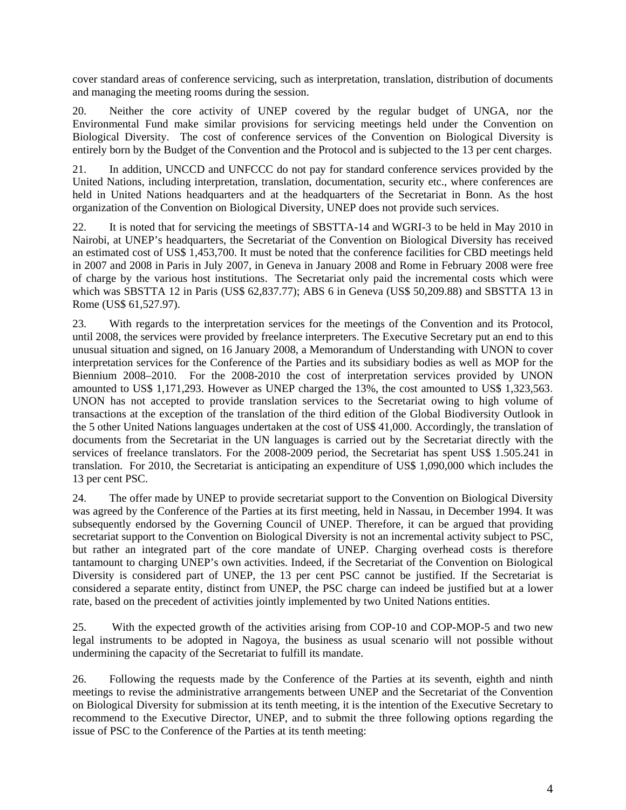cover standard areas of conference servicing, such as interpretation, translation, distribution of documents and managing the meeting rooms during the session.

20. Neither the core activity of UNEP covered by the regular budget of UNGA, nor the Environmental Fund make similar provisions for servicing meetings held under the Convention on Biological Diversity. The cost of conference services of the Convention on Biological Diversity is entirely born by the Budget of the Convention and the Protocol and is subjected to the 13 per cent charges.

21. In addition, UNCCD and UNFCCC do not pay for standard conference services provided by the United Nations, including interpretation, translation, documentation, security etc., where conferences are held in United Nations headquarters and at the headquarters of the Secretariat in Bonn. As the host organization of the Convention on Biological Diversity, UNEP does not provide such services.

22. It is noted that for servicing the meetings of SBSTTA-14 and WGRI-3 to be held in May 2010 in Nairobi, at UNEP's headquarters, the Secretariat of the Convention on Biological Diversity has received an estimated cost of US\$ 1,453,700. It must be noted that the conference facilities for CBD meetings held in 2007 and 2008 in Paris in July 2007, in Geneva in January 2008 and Rome in February 2008 were free of charge by the various host institutions. The Secretariat only paid the incremental costs which were which was SBSTTA 12 in Paris (US\$ 62,837.77); ABS 6 in Geneva (US\$ 50,209.88) and SBSTTA 13 in Rome (US\$ 61,527.97).

23. With regards to the interpretation services for the meetings of the Convention and its Protocol, until 2008, the services were provided by freelance interpreters. The Executive Secretary put an end to this unusual situation and signed, on 16 January 2008, a Memorandum of Understanding with UNON to cover interpretation services for the Conference of the Parties and its subsidiary bodies as well as MOP for the Biennium 2008–2010. For the 2008-2010 the cost of interpretation services provided by UNON amounted to US\$ 1,171,293. However as UNEP charged the 13%, the cost amounted to US\$ 1,323,563. UNON has not accepted to provide translation services to the Secretariat owing to high volume of transactions at the exception of the translation of the third edition of the Global Biodiversity Outlook in the 5 other United Nations languages undertaken at the cost of US\$ 41,000. Accordingly, the translation of documents from the Secretariat in the UN languages is carried out by the Secretariat directly with the services of freelance translators. For the 2008-2009 period, the Secretariat has spent US\$ 1.505.241 in translation. For 2010, the Secretariat is anticipating an expenditure of US\$ 1,090,000 which includes the 13 per cent PSC.

24. The offer made by UNEP to provide secretariat support to the Convention on Biological Diversity was agreed by the Conference of the Parties at its first meeting, held in Nassau, in December 1994. It was subsequently endorsed by the Governing Council of UNEP. Therefore, it can be argued that providing secretariat support to the Convention on Biological Diversity is not an incremental activity subject to PSC, but rather an integrated part of the core mandate of UNEP. Charging overhead costs is therefore tantamount to charging UNEP's own activities. Indeed, if the Secretariat of the Convention on Biological Diversity is considered part of UNEP, the 13 per cent PSC cannot be justified. If the Secretariat is considered a separate entity, distinct from UNEP, the PSC charge can indeed be justified but at a lower rate, based on the precedent of activities jointly implemented by two United Nations entities.

25. With the expected growth of the activities arising from COP-10 and COP-MOP-5 and two new legal instruments to be adopted in Nagoya, the business as usual scenario will not possible without undermining the capacity of the Secretariat to fulfill its mandate.

26. Following the requests made by the Conference of the Parties at its seventh, eighth and ninth meetings to revise the administrative arrangements between UNEP and the Secretariat of the Convention on Biological Diversity for submission at its tenth meeting, it is the intention of the Executive Secretary to recommend to the Executive Director, UNEP, and to submit the three following options regarding the issue of PSC to the Conference of the Parties at its tenth meeting: